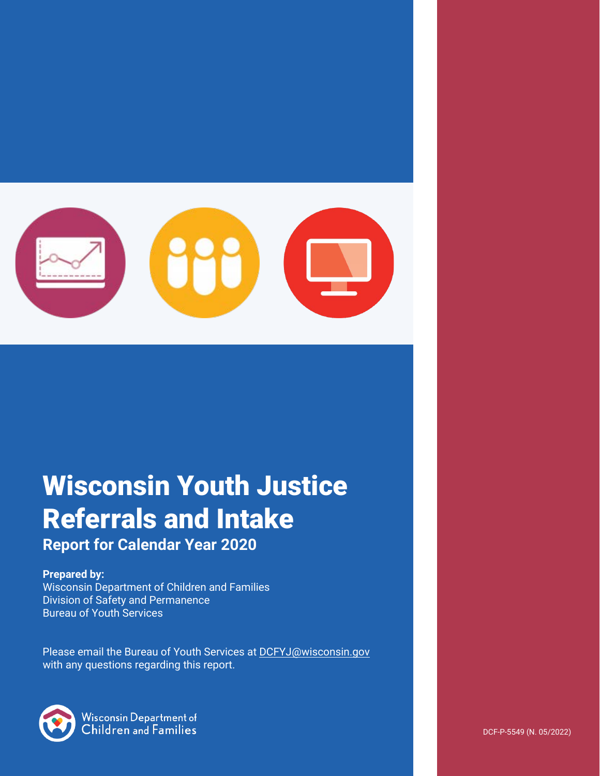

# Wisconsin Youth Justice Referrals and Intake

# **Report for Calendar Year 2020**

#### **Prepared by:**

Wisconsin Department of Children and Families Division of Safety and Permanence Bureau of Youth Services

Please email the Bureau of Youth Services a[t DCFYJ@wisconsin.gov](mailto:DCFYJ@wisconsin.gov) with any questions regarding this report.



**Wisconsin Department of** Children and Families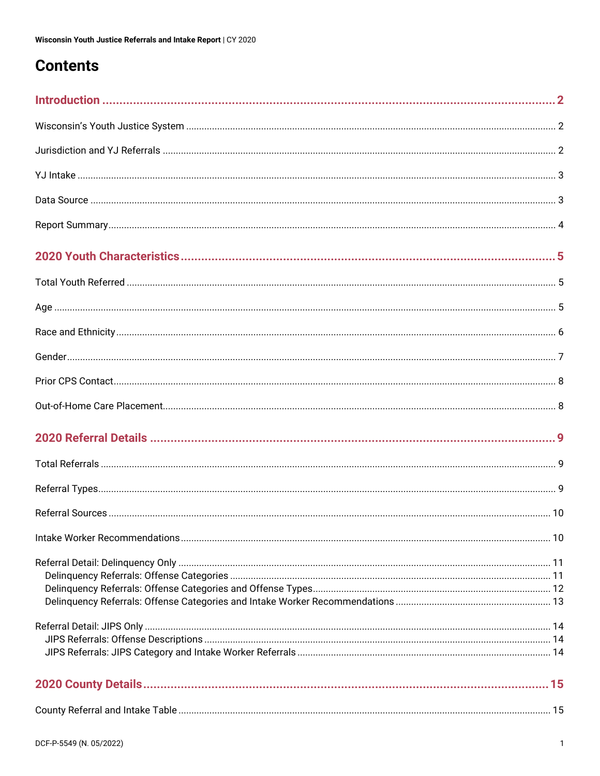# **Contents**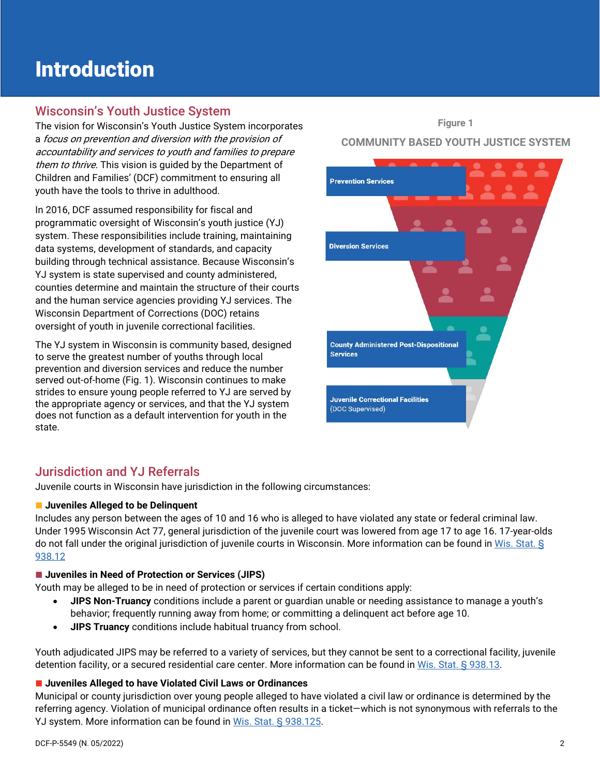# <span id="page-2-0"></span>Introduction

# <span id="page-2-1"></span>Wisconsin's Youth Justice System

The vision for Wisconsin's Youth Justice System incorporates a focus on prevention and diversion with the provision of accountability and services to youth and families to prepare them to thrive. This vision is quided by the Department of Children and Families' (DCF) commitment to ensuring all youth have the tools to thrive in adulthood.

In 2016, DCF assumed responsibility for fiscal and programmatic oversight of Wisconsin's youth justice (YJ) system. These responsibilities include training, maintaining data systems, development of standards, and capacity building through technical assistance. Because Wisconsin's YJ system is state supervised and county administered, counties determine and maintain the structure of their courts and the human service agencies providing YJ services. The Wisconsin Department of Corrections (DOC) retains oversight of youth in juvenile correctional facilities.

The YJ system in Wisconsin is community based, designed to serve the greatest number of youths through local prevention and diversion services and reduce the number served out-of-home (Fig. 1). Wisconsin continues to make strides to ensure young people referred to YJ are served by the appropriate agency or services, and that the YJ system does not function as a default intervention for youth in the state.

#### **Figure 1**

#### **COMMUNITY BASED YOUTH JUSTICE SYSTEM**



# <span id="page-2-2"></span>Jurisdiction and YJ Referrals

Juvenile courts in Wisconsin have jurisdiction in the following circumstances:

#### **<u></u>Juveniles Alleged to be Delinguent**

Includes any person between the ages of 10 and 16 who is alleged to have violated any state or federal criminal law. Under 1995 Wisconsin Act 77, general jurisdiction of the juvenile court was lowered from age 17 to age 16. 17-year-olds do not fall under the original jurisdiction of juvenile courts in Wisconsin. More information can be found in [Wis. Stat. §](https://docs.legis.wisconsin.gov/statutes/statutes/938/III/12)  [938.12](https://docs.legis.wisconsin.gov/statutes/statutes/938/III/12)

#### $\blacksquare$  **Juveniles in Need of Protection or Services (JIPS)**

Youth may be alleged to be in need of protection or services if certain conditions apply:

- **JIPS Non-Truancy** conditions include a parent or guardian unable or needing assistance to manage a youth's behavior; frequently running away from home; or committing a delinquent act before age 10.
- **JIPS Truancy** conditions include habitual truancy from school.

Youth adjudicated JIPS may be referred to a variety of services, but they cannot be sent to a correctional facility, juvenile detention facility, or a secured residential care center. More information can be found in [Wis. Stat. § 938.13.](https://docs.legis.wisconsin.gov/statutes/statutes/938/III/13)

#### **Juveniles Alleged to have Violated Civil Laws or Ordinances**

Municipal or county jurisdiction over young people alleged to have violated a civil law or ordinance is determined by the referring agency. Violation of municipal ordinance often results in a ticket—which is not synonymous with referrals to the YJ system. More information can be found in [Wis. Stat. § 938.125.](https://docs.legis.wisconsin.gov/statutes/statutes/938/III/125)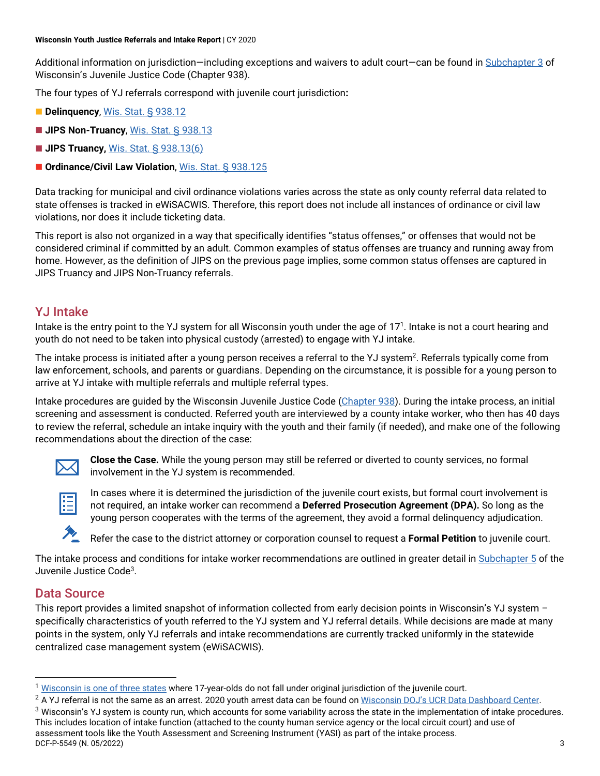Additional information on jurisdiction—including exceptions and waivers to adult court—can be found i[n Subchapter 3](https://docs.legis.wisconsin.gov/statutes/statutes/938/iii) of Wisconsin's Juvenile Justice Code (Chapter 938).

The four types of YJ referrals correspond with juvenile court jurisdiction**:** 

- **Delinquency**[, Wis. Stat. § 938.12](https://docs.legis.wisconsin.gov/statutes/statutes/938/III/12)
- **JIPS Non-Truancy, [Wis. Stat. § 938.13](https://docs.legis.wisconsin.gov/statutes/statutes/938/III/13)**
- **JIPS Truancy, [Wis. Stat. § 938.13\(6\)](https://docs.legis.wisconsin.gov/statutes/statutes/938/III/13/6)**
- Ordinance/Civil Law Violation, [Wis. Stat. § 938.125](https://docs.legis.wisconsin.gov/statutes/statutes/938/III/125)

Data tracking for municipal and civil ordinance violations varies across the state as only county referral data related to state offenses is tracked in eWiSACWIS. Therefore, this report does not include all instances of ordinance or civil law violations, nor does it include ticketing data.

This report is also not organized in a way that specifically identifies "status offenses," or offenses that would not be considered criminal if committed by an adult. Common examples of status offenses are truancy and running away from home. However, as the definition of JIPS on the previous page implies, some common status offenses are captured in JIPS Truancy and JIPS Non-Truancy referrals.

# <span id="page-3-0"></span>YJ Intake

Intake is the entry point to the YJ system for all Wisconsin youth under the age of  $17<sup>1</sup>$ . Intake is not a court hearing and youth do not need to be taken into physical custody (arrested) to engage with YJ intake.

The intake process is initiated after a young person receives a referral to the YJ system<sup>2</sup>. Referrals typically come from law enforcement, schools, and parents or guardians. Depending on the circumstance, it is possible for a young person to arrive at YJ intake with multiple referrals and multiple referral types.

Intake procedures are guided by the Wisconsin Juvenile Justice Code [\(Chapter 938\)](https://docs.legis.wisconsin.gov/statutes/statutes/938). During the intake process, an initial screening and assessment is conducted. Referred youth are interviewed by a county intake worker, who then has 40 days to review the referral, schedule an intake inquiry with the youth and their family (if needed), and make one of the following recommendations about the direction of the case:



**Close the Case.** While the young person may still be referred or diverted to county services, no formal involvement in the YJ system is recommended.



In cases where it is determined the jurisdiction of the juvenile court exists, but formal court involvement is not required, an intake worker can recommend a **Deferred Prosecution Agreement (DPA).** So long as the young person cooperates with the terms of the agreement, they avoid a formal delinquency adjudication.



Refer the case to the district attorney or corporation counsel to request a **Formal Petition** to juvenile court.

The intake process and conditions for intake worker recommendations are outlined in greater detail i[n Subchapter 5](https://docs.legis.wisconsin.gov/statutes/statutes/938/v) of the Juvenile Justice Code3.

# <span id="page-3-1"></span>Data Source

This report provides a limited snapshot of information collected from early decision points in Wisconsin's YJ system – specifically characteristics of youth referred to the YJ system and YJ referral details. While decisions are made at many points in the system, only YJ referrals and intake recommendations are currently tracked uniformly in the statewide centralized case management system (eWiSACWIS).

DCF-P-5549 (N. 05/2022) 3 This includes location of intake function (attached to the county human service agency or the local circuit court) and use of assessment tools like the Youth Assessment and Screening Instrument (YASI) as part of the intake process.

<sup>1</sup> [Wisconsin is one of three states](https://www.ncsl.org/research/civil-and-criminal-justice/juvenile-age-of-jurisdiction-and-transfer-to-adult-court-laws.aspx) where 17-year-olds do not fall under original jurisdiction of the juvenile court.

<sup>&</sup>lt;sup>2</sup> A YJ referral is not the same as an arrest. 2020 youth arrest data can be found on Wisconsin DOJ's UCR Data Dashboard Center.<br><sup>3</sup> Wisconsin's YJ system is county run, which accounts for some variability across the stat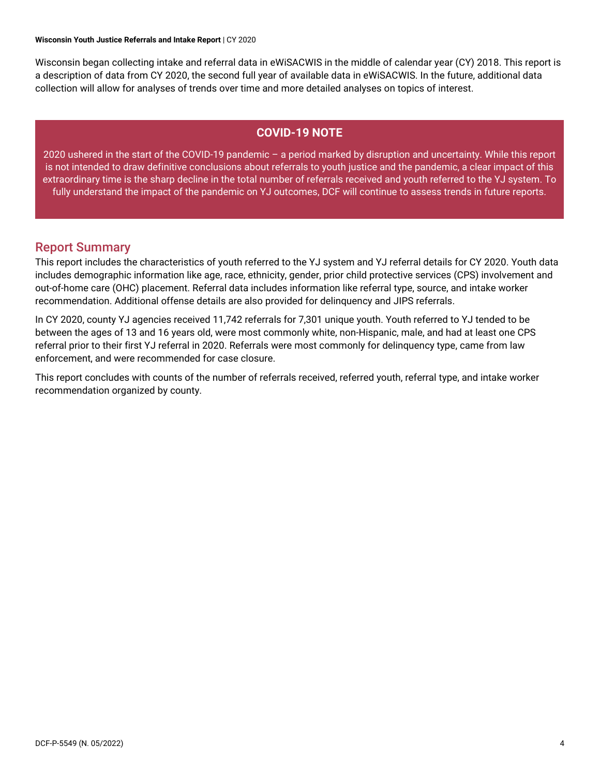#### **Wisconsin Youth Justice Referrals and Intake Report** | CY 2020

Wisconsin began collecting intake and referral data in eWiSACWIS in the middle of calendar year (CY) 2018. This report is a description of data from CY 2020, the second full year of available data in eWiSACWIS. In the future, additional data collection will allow for analyses of trends over time and more detailed analyses on topics of interest.

#### **COVID-19 NOTE**

2020 ushered in the start of the COVID-19 pandemic – a period marked by disruption and uncertainty. While this report is not intended to draw definitive conclusions about referrals to youth justice and the pandemic, a clear impact of this extraordinary time is the sharp decline in the total number of referrals received and youth referred to the YJ system. To fully understand the impact of the pandemic on YJ outcomes, DCF will continue to assess trends in future reports.

#### <span id="page-4-0"></span>Report Summary

This report includes the characteristics of youth referred to the YJ system and YJ referral details for CY 2020. Youth data includes demographic information like age, race, ethnicity, gender, prior child protective services (CPS) involvement and out-of-home care (OHC) placement. Referral data includes information like referral type, source, and intake worker recommendation. Additional offense details are also provided for delinquency and JIPS referrals.

In CY 2020, county YJ agencies received 11,742 referrals for 7,301 unique youth. Youth referred to YJ tended to be between the ages of 13 and 16 years old, were most commonly white, non-Hispanic, male, and had at least one CPS referral prior to their first YJ referral in 2020. Referrals were most commonly for delinquency type, came from law enforcement, and were recommended for case closure.

This report concludes with counts of the number of referrals received, referred youth, referral type, and intake worker recommendation organized by county.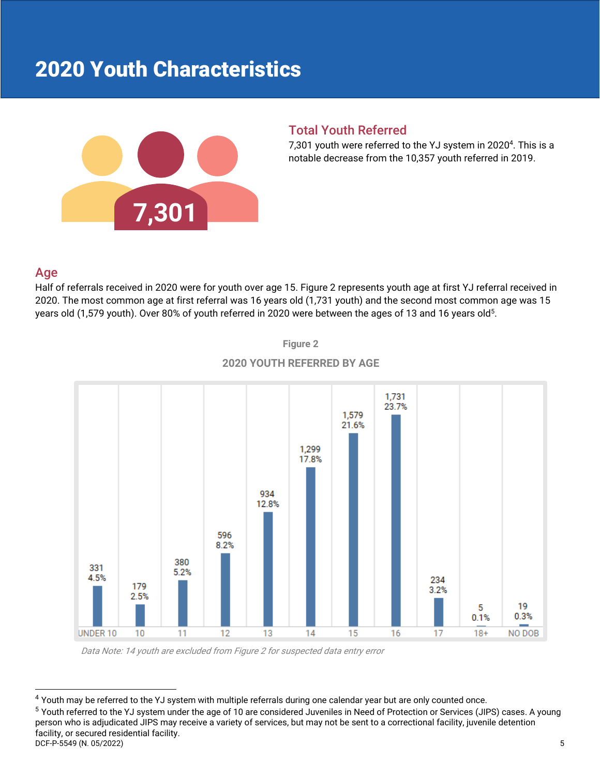# <span id="page-5-0"></span>2020 Youth Characteristics



### <span id="page-5-1"></span>Total Youth Referred

7,301 youth were referred to the YJ system in 2020<sup>4</sup>. This is a notable decrease from the 10,357 youth referred in 2019.

### <span id="page-5-2"></span>Age

Half of referrals received in 2020 were for youth over age 15. Figure 2 represents youth age at first YJ referral received in 2020. The most common age at first referral was 16 years old (1,731 youth) and the second most common age was 15 years old (1,579 youth). Over 80% of youth referred in 2020 were between the ages of 13 and 16 years old<sup>5</sup>.



**Figure 2 2020 YOUTH REFERRED BY AGE**

Data Note: 14 youth are excluded from Figure 2 for suspected data entry error

DCF-P-5549 (N. 05/2022) 5  $4$  Youth may be referred to the YJ system with multiple referrals during one calendar year but are only counted once.<br> $5$  Youth referred to the YJ system under the age of 10 are considered Juveniles in Need of Protection person who is adjudicated JIPS may receive a variety of services, but may not be sent to a correctional facility, juvenile detention facility, or secured residential facility.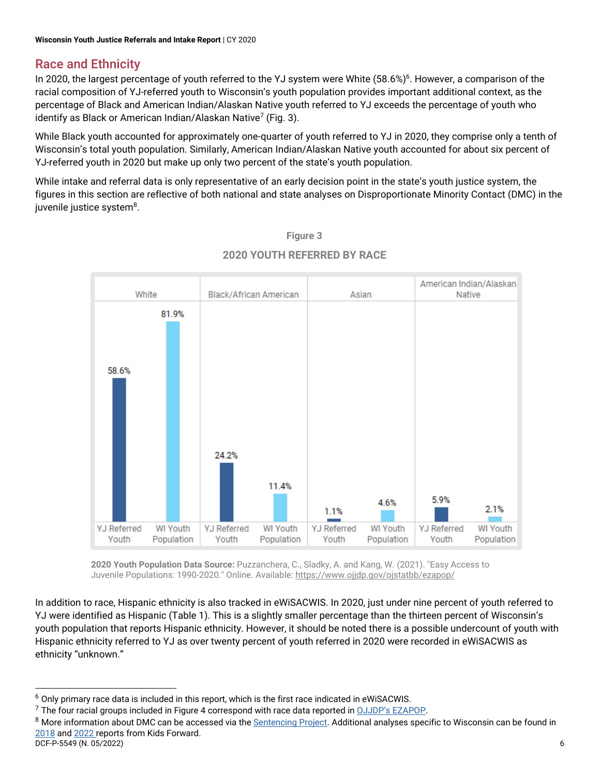# <span id="page-6-0"></span>Race and Ethnicity

In 2020, the largest percentage of youth referred to the YJ system were White (58.6%)<sup>6</sup>. However, a comparison of the racial composition of YJ-referred youth to Wisconsin's youth population provides important additional context, as the percentage of Black and American Indian/Alaskan Native youth referred to YJ exceeds the percentage of youth who identify as Black or American Indian/Alaskan Native<sup>7</sup> (Fig. 3).

While Black youth accounted for approximately one-quarter of youth referred to YJ in 2020, they comprise only a tenth of Wisconsin's total youth population. Similarly, American Indian/Alaskan Native youth accounted for about six percent of YJ-referred youth in 2020 but make up only two percent of the state's youth population.

While intake and referral data is only representative of an early decision point in the state's youth justice system, the figures in this section are reflective of both national and state analyses on Disproportionate Minority Contact (DMC) in the juvenile justice system<sup>8</sup>.



# **Figure 3 2020 YOUTH REFERRED BY RACE**

**2020 Youth Population Data Source:** Puzzanchera, C., Sladky, A. and Kang, W. (2021). "Easy Access to Juvenile Populations: 1990-2020." Online. Available[: https://www.ojjdp.gov/ojstatbb/ezapop/](https://www.ojjdp.gov/ojstatbb/ezapop/)

In addition to race, Hispanic ethnicity is also tracked in eWiSACWIS. In 2020, just under nine percent of youth referred to YJ were identified as Hispanic (Table 1). This is a slightly smaller percentage than the thirteen percent of Wisconsin's youth population that reports Hispanic ethnicity. However, it should be noted there is a possible undercount of youth with Hispanic ethnicity referred to YJ as over twenty percent of youth referred in 2020 were recorded in eWiSACWIS as ethnicity "unknown."

<sup>6</sup> Only primary race data is included in this report, which is the first race indicated in eWiSACWIS.

DCF-P-5549 (N. 05/2022) 6  $^7$  The four racial groups included in Figure 4 correspond with race data reported in <u>OJJDP's EZAPOP</u>.<br><sup>8</sup> More information about DMC can be accessed via the <u>Sentencing Project</u>. Additional analyses specific to Wiscons [2018](https://kidsforward.org/assets/The-Complex-Maze-of-the-Juvenile-Justice-System.pdf) an[d 2022](https://kidsforward.org/assets/Impact_of_COVID-19_on_YJ_in_WI_.pdf) reports from Kids Forward.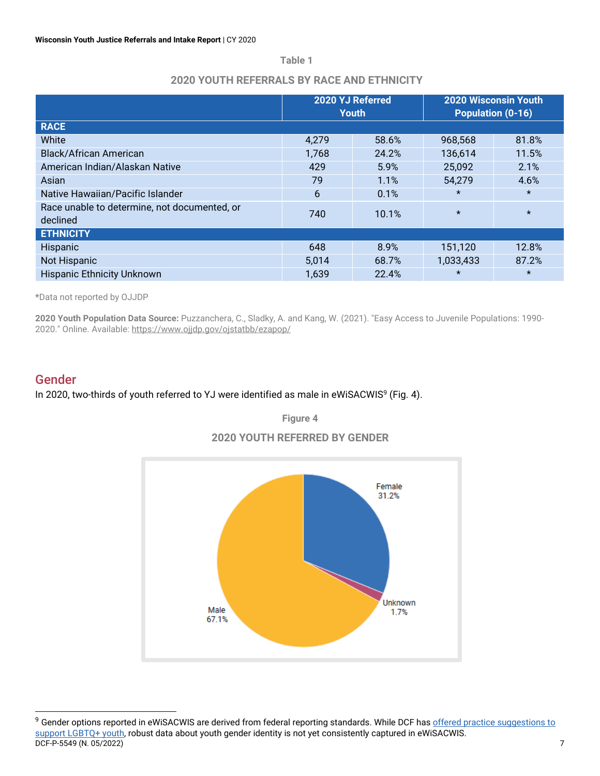**Table 1**

#### **2020 YOUTH REFERRALS BY RACE AND ETHNICITY**

|                                                          | 2020 YJ Referred | <b>Youth</b> | <b>2020 Wisconsin Youth</b><br>Population (0-16) |         |
|----------------------------------------------------------|------------------|--------------|--------------------------------------------------|---------|
| <b>RACE</b>                                              |                  |              |                                                  |         |
| White                                                    | 4,279            | 58.6%        | 968,568                                          | 81.8%   |
| <b>Black/African American</b>                            | 1,768            | 24.2%        | 136,614                                          | 11.5%   |
| American Indian/Alaskan Native                           | 429              | 5.9%         | 25,092                                           | 2.1%    |
| Asian                                                    | 79               | 1.1%         | 54,279                                           | 4.6%    |
| Native Hawaiian/Pacific Islander                         | 6                | 0.1%         | $\star$                                          | $\star$ |
| Race unable to determine, not documented, or<br>declined | 740<br>10.1%     |              | $\star$                                          | $\star$ |
| <b>ETHNICITY</b>                                         |                  |              |                                                  |         |
| Hispanic                                                 | 648              | 8.9%         | 151,120                                          | 12.8%   |
| Not Hispanic                                             | 5,014            | 68.7%        | 1,033,433                                        | 87.2%   |
| <b>Hispanic Ethnicity Unknown</b>                        | 1,639            | 22.4%        | $\star$                                          | $\star$ |

**\***Data not reported by OJJDP

**2020 Youth Population Data Source:** Puzzanchera, C., Sladky, A. and Kang, W. (2021). "Easy Access to Juvenile Populations: 1990- 2020." Online. Available[: https://www.ojjdp.gov/ojstatbb/ezapop/](https://www.ojjdp.gov/ojstatbb/ezapop/)

### <span id="page-7-0"></span>Gender

#### In 2020, two-thirds of youth referred to YJ were identified as male in eWiSACWIS<sup>9</sup> (Fig. 4).

**Figure 4**



**2020 YOUTH REFERRED BY GENDER**

DCF-P-5549 (N. 05/2022) 7 <sup>9</sup> Gender options reported in eWiSACWIS are derived from federal reporting standards. While DCF has offered practice suggestions to [support LGBTQ+ youth,](https://dcf.wisconsin.gov/files/publications/pdf/5534.pdf) robust data about youth gender identity is not yet consistently captured in eWiSACWIS.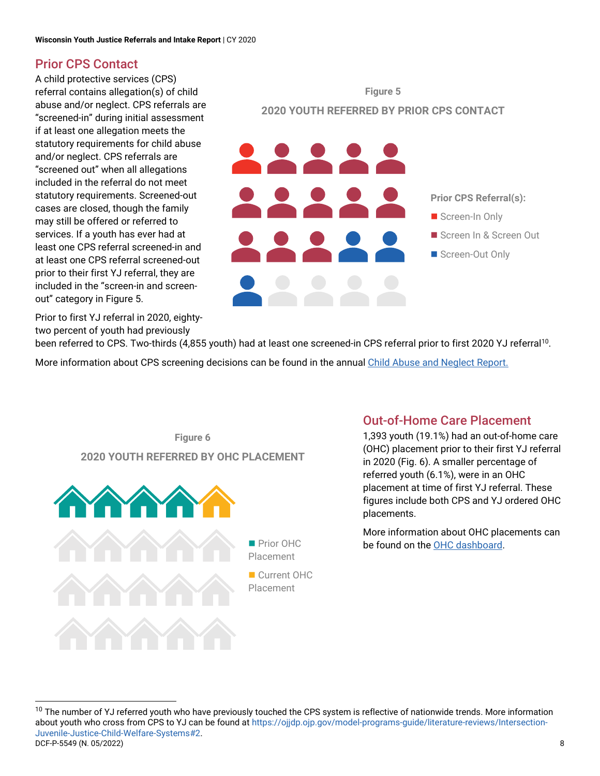# <span id="page-8-0"></span>Prior CPS Contact

A child protective services (CPS) referral contains allegation(s) of child abuse and/or neglect. CPS referrals are "screened-in" during initial assessment if at least one allegation meets the statutory requirements for child abuse and/or neglect. CPS referrals are "screened out" when all allegations included in the referral do not meet statutory requirements. Screened-out cases are closed, though the family may still be offered or referred to services. If a youth has ever had at least one CPS referral screened-in and at least one CPS referral screened-out prior to their first YJ referral, they are included in the "screen-in and screenout" category in Figure 5.

Prior to first YJ referral in 2020, eightytwo percent of youth had previously





been referred to CPS. Two-thirds (4,855 youth) had at least one screened-in CPS referral prior to first 2020 YJ referral<sup>10</sup>.

More information about CPS screening decisions can be found in the annua[l Child Abuse and Neglect Report.](https://dcf.wisconsin.gov/files/cwportal/reports/pdf/can.pdf)



# <span id="page-8-1"></span>Out-of-Home Care Placement

1,393 youth (19.1%) had an out-of-home care (OHC) placement prior to their first YJ referral in 2020 (Fig. 6). A smaller percentage of referred youth (6.1%), were in an OHC placement at time of first YJ referral. These figures include both CPS and YJ ordered OHC placements.

More information about OHC placements can be found on th[e OHC dashboard.](https://dcf.wisconsin.gov/dashboard/ohc)

DCF-P-5549 (N. 05/2022) 8 <sup>10</sup> The number of YJ referred youth who have previously touched the CPS system is reflective of nationwide trends. More information about youth who cross from CPS to YJ can be found at [https://ojjdp.ojp.gov/model-programs-guide/literature-reviews/Intersection-](https://ojjdp.ojp.gov/model-programs-guide/literature-reviews/Intersection-Juvenile-Justice-Child-Welfare-Systems#2)[Juvenile-Justice-Child-Welfare-Systems#2.](https://ojjdp.ojp.gov/model-programs-guide/literature-reviews/Intersection-Juvenile-Justice-Child-Welfare-Systems#2)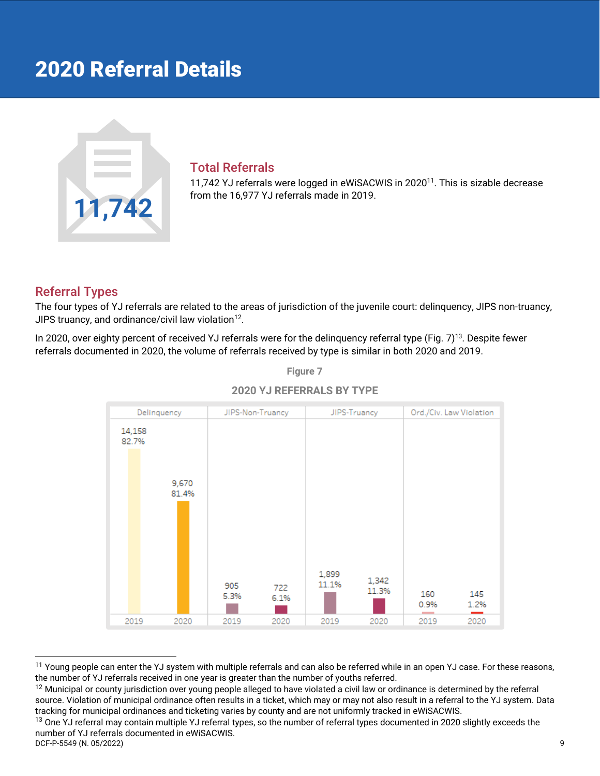# <span id="page-9-0"></span>2020 Referral Details



#### <span id="page-9-1"></span>Total Referrals

11,742 YJ referrals were logged in eWiSACWIS in 2020<sup>11</sup>. This is sizable decrease from the 16,977 YJ referrals made in 2019.

### <span id="page-9-2"></span>Referral Types

The four types of YJ referrals are related to the areas of jurisdiction of the juvenile court: delinquency, JIPS non-truancy, JIPS truancy, and ordinance/civil law violation $12$ .

In 2020, over eighty percent of received YJ referrals were for the delinquency referral type (Fig. 7)<sup>13</sup>. Despite fewer referrals documented in 2020, the volume of referrals received by type is similar in both 2020 and 2019.



**Figure 7**

<sup>11</sup> Young people can enter the YJ system with multiple referrals and can also be referred while in an open YJ case. For these reasons, the number of YJ referrals received in one year is greater than the number of youths referred.

<sup>12</sup> Municipal or county jurisdiction over young people alleged to have violated a civil law or ordinance is determined by the referral source. Violation of municipal ordinance often results in a ticket, which may or may not also result in a referral to the YJ system. Data tracking for municipal ordinances and ticketing varies by county and are not uniformly tracked in eWiSACWIS.

DCF-P-5549 (N. 05/2022) 9 <sup>13</sup> One YJ referral may contain multiple YJ referral types, so the number of referral types documented in 2020 slightly exceeds the number of YJ referrals documented in eWiSACWIS.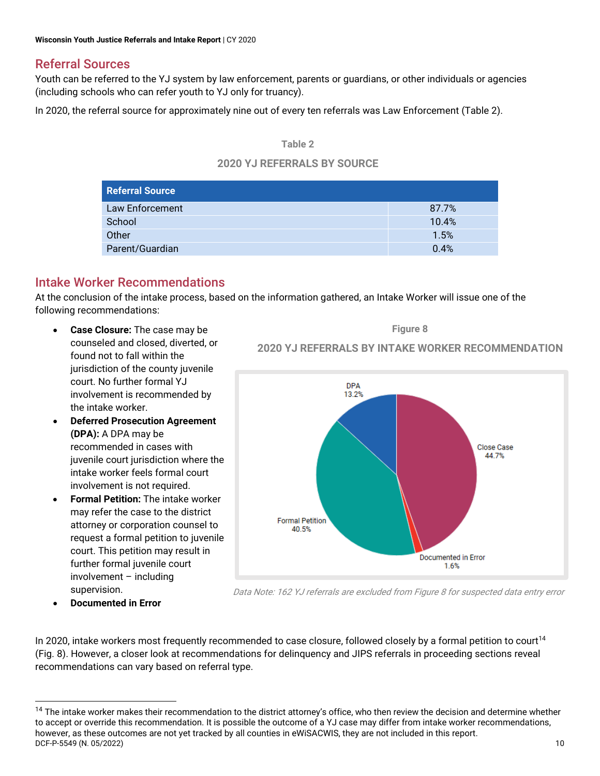# <span id="page-10-0"></span>Referral Sources

Youth can be referred to the YJ system by law enforcement, parents or guardians, or other individuals or agencies (including schools who can refer youth to YJ only for truancy).

In 2020, the referral source for approximately nine out of every ten referrals was Law Enforcement (Table 2).

#### **Table 2**

#### **2020 YJ REFERRALS BY SOURCE**

| Referral Source |       |
|-----------------|-------|
| Law Enforcement | 87.7% |
| School          | 10.4% |
| Other           | 1.5%  |
| Parent/Guardian | 0.4%  |

# <span id="page-10-1"></span>Intake Worker Recommendations

At the conclusion of the intake process, based on the information gathered, an Intake Worker will issue one of the following recommendations:

- **Case Closure:** The case may be counseled and closed, diverted, or found not to fall within the jurisdiction of the county juvenile court. No further formal YJ involvement is recommended by the intake worker.
- **Deferred Prosecution Agreement (DPA):** A DPA may be recommended in cases with juvenile court jurisdiction where the intake worker feels formal court involvement is not required.
- **Formal Petition:** The intake worker may refer the case to the district attorney or corporation counsel to request a formal petition to juvenile court. This petition may result in further formal juvenile court involvement – including supervision.

**Figure 8 2020 YJ REFERRALS BY INTAKE WORKER RECOMMENDATION**



• **Documented in Error**

Data Note: 162 YJ referrals are excluded from Figure 8 for suspected data entry error

In 2020, intake workers most frequently recommended to case closure, followed closely by a formal petition to court<sup>14</sup> (Fig. 8). However, a closer look at recommendations for delinquency and JIPS referrals in proceeding sections reveal recommendations can vary based on referral type.

**DCF-P-5549 (N. 05/2022)** 10 <sup>14</sup> The intake worker makes their recommendation to the district attorney's office, who then review the decision and determine whether to accept or override this recommendation. It is possible the outcome of a YJ case may differ from intake worker recommendations, however, as these outcomes are not yet tracked by all counties in eWiSACWIS, they are not included in this report.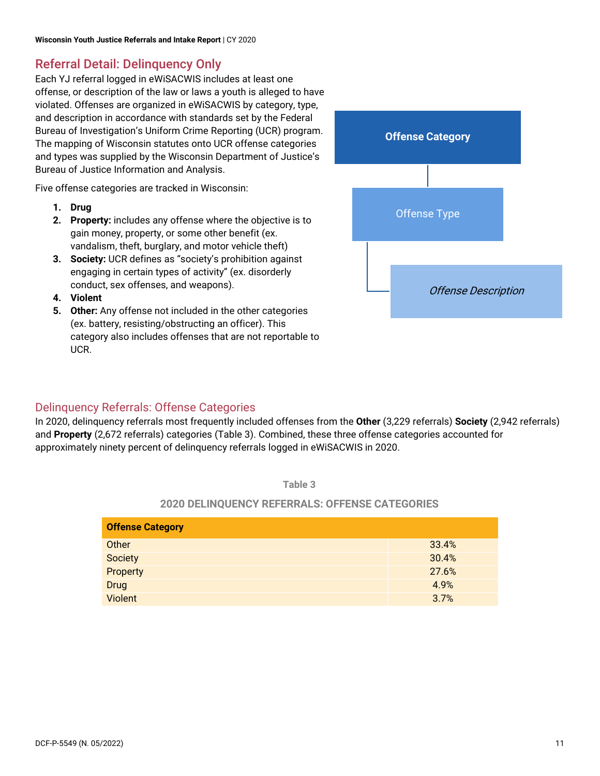# <span id="page-11-0"></span>Referral Detail: Delinquency Only

Each YJ referral logged in eWiSACWIS includes at least one offense, or description of the law or laws a youth is alleged to have violated. Offenses are organized in eWiSACWIS by category, type, and description in accordance with standards set by the Federal Bureau of Investigation's Uniform Crime Reporting (UCR) program. The mapping of Wisconsin statutes onto UCR offense categories and types was supplied by the Wisconsin Department of Justice's Bureau of Justice Information and Analysis.

Five offense categories are tracked in Wisconsin:

- **1. Drug**
- **2. Property:** includes any offense where the objective is to gain money, property, or some other benefit (ex. vandalism, theft, burglary, and motor vehicle theft)
- **3. Society:** UCR defines as "society's prohibition against engaging in certain types of activity" (ex. disorderly conduct, sex offenses, and weapons).
- **4. Violent**
- **5. Other:** Any offense not included in the other categories (ex. battery, resisting/obstructing an officer). This category also includes offenses that are not reportable to UCR.

![](_page_11_Figure_9.jpeg)

# <span id="page-11-1"></span>Delinquency Referrals: Offense Categories

In 2020, delinquency referrals most frequently included offenses from the **Other** (3,229 referrals) **Society** (2,942 referrals) and **Property** (2,672 referrals) categories (Table 3). Combined, these three offense categories accounted for approximately ninety percent of delinquency referrals logged in eWiSACWIS in 2020.

**Table 3**

### **2020 DELINQUENCY REFERRALS: OFFENSE CATEGORIES**

| <b>Offense Category</b> |       |
|-------------------------|-------|
| Other                   | 33.4% |
| Society                 | 30.4% |
| Property                | 27.6% |
| Drug                    | 4.9%  |
| Violent                 | 3.7%  |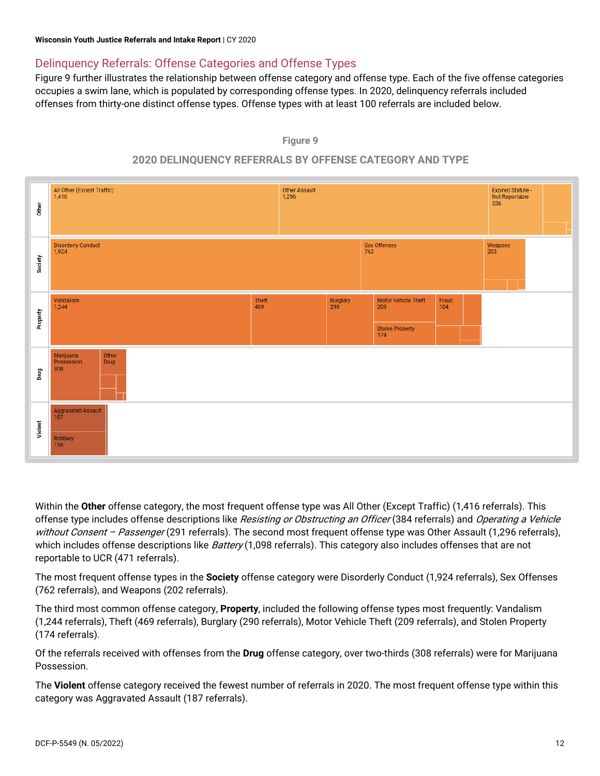# <span id="page-12-0"></span>Delinquency Referrals: Offense Categories and Offense Types

Figure 9 further illustrates the relationship between offense category and offense type. Each of the five offense categories occupies a swim lane, which is populated by corresponding offense types. In 2020, delinquency referrals included offenses from thirty-one distinct offense types. Offense types with at least 100 referrals are included below.

![](_page_12_Figure_3.jpeg)

### **2020 DELINQUENCY REFERRALS BY OFFENSE CATEGORY AND TYPE**

![](_page_12_Figure_5.jpeg)

Within the **Other** offense category, the most frequent offense type was All Other (Except Traffic) (1,416 referrals). This offense type includes offense descriptions like Resisting or Obstructing an Officer (384 referrals) and Operating a Vehicle without Consent - Passenger (291 referrals). The second most frequent offense type was Other Assault (1,296 referrals), which includes offense descriptions like Battery (1,098 referrals). This category also includes offenses that are not reportable to UCR (471 referrals).

The most frequent offense types in the **Society** offense category were Disorderly Conduct (1,924 referrals), Sex Offenses (762 referrals), and Weapons (202 referrals).

The third most common offense category, **Property**, included the following offense types most frequently: Vandalism (1,244 referrals), Theft (469 referrals), Burglary (290 referrals), Motor Vehicle Theft (209 referrals), and Stolen Property (174 referrals).

Of the referrals received with offenses from the **Drug** offense category, over two-thirds (308 referrals) were for Marijuana Possession.

The **Violent** offense category received the fewest number of referrals in 2020. The most frequent offense type within this category was Aggravated Assault (187 referrals).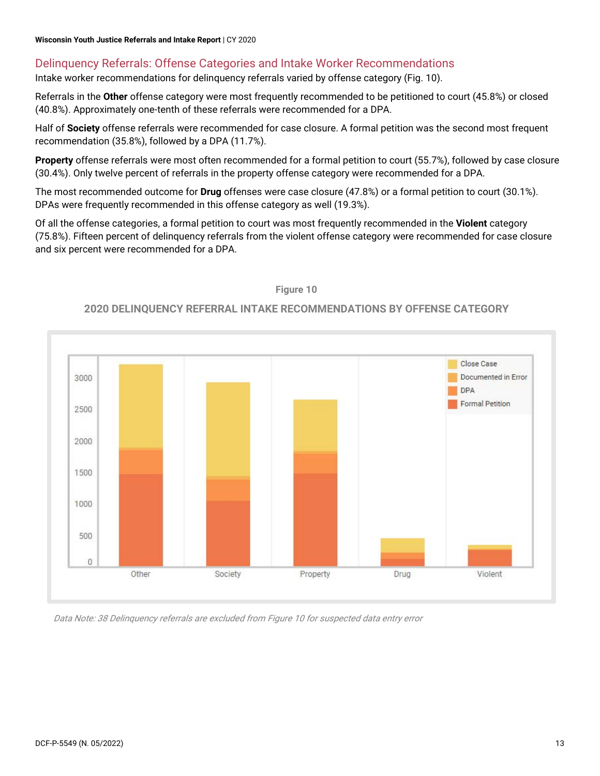### <span id="page-13-0"></span>Delinquency Referrals: Offense Categories and Intake Worker Recommendations

Intake worker recommendations for delinquency referrals varied by offense category (Fig. 10).

Referrals in the **Other** offense category were most frequently recommended to be petitioned to court (45.8%) or closed (40.8%). Approximately one-tenth of these referrals were recommended for a DPA.

Half of **Society** offense referrals were recommended for case closure. A formal petition was the second most frequent recommendation (35.8%), followed by a DPA (11.7%).

**Property** offense referrals were most often recommended for a formal petition to court (55.7%), followed by case closure (30.4%). Only twelve percent of referrals in the property offense category were recommended for a DPA.

The most recommended outcome for **Drug** offenses were case closure (47.8%) or a formal petition to court (30.1%). DPAs were frequently recommended in this offense category as well (19.3%).

Of all the offense categories, a formal petition to court was most frequently recommended in the **Violent** category (75.8%). Fifteen percent of delinquency referrals from the violent offense category were recommended for case closure and six percent were recommended for a DPA.

![](_page_13_Figure_8.jpeg)

**Figure 10**

#### **2020 DELINQUENCY REFERRAL INTAKE RECOMMENDATIONS BY OFFENSE CATEGORY**

Data Note: 38 Delinquency referrals are excluded from Figure 10 for suspected data entry error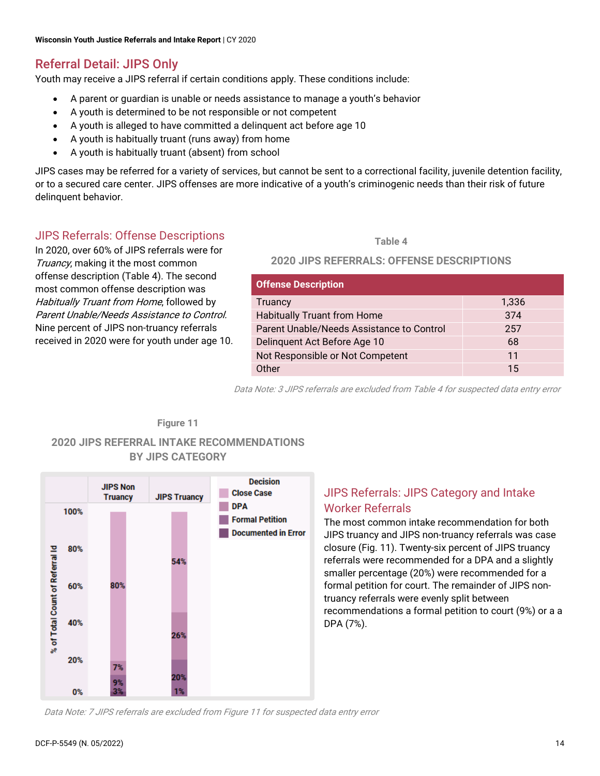# <span id="page-14-0"></span>Referral Detail: JIPS Only

Youth may receive a JIPS referral if certain conditions apply. These conditions include:

- A parent or guardian is unable or needs assistance to manage a youth's behavior
- A youth is determined to be not responsible or not competent
- A youth is alleged to have committed a delinquent act before age 10
- A youth is habitually truant (runs away) from home
- A youth is habitually truant (absent) from school

JIPS cases may be referred for a variety of services, but cannot be sent to a correctional facility, juvenile detention facility, or to a secured care center. JIPS offenses are more indicative of a youth's criminogenic needs than their risk of future delinquent behavior.

# <span id="page-14-1"></span>JIPS Referrals: Offense Descriptions

In 2020, over 60% of JIPS referrals were for Truancy, making it the most common offense description (Table 4). The second most common offense description was Habitually Truant from Home, followed by Parent Unable/Needs Assistance to Control. Nine percent of JIPS non-truancy referrals received in 2020 were for youth under age 10.

#### **Table 4**

#### **2020 JIPS REFERRALS: OFFENSE DESCRIPTIONS**

| <b>Offense Description</b>                |       |
|-------------------------------------------|-------|
| <b>Truancy</b>                            | 1,336 |
| <b>Habitually Truant from Home</b>        | 374   |
| Parent Unable/Needs Assistance to Control | 257   |
| Delinquent Act Before Age 10              | 68    |
| Not Responsible or Not Competent          | 11    |
| Other                                     | 15    |

Data Note: 3 JIPS referrals are excluded from Table 4 for suspected data entry error

#### **Figure 11**

#### **2020 JIPS REFERRAL INTAKE RECOMMENDATIONS BY JIPS CATEGORY**

![](_page_14_Figure_17.jpeg)

# <span id="page-14-2"></span>JIPS Referrals: JIPS Category and Intake Worker Referrals

The most common intake recommendation for both JIPS truancy and JIPS non-truancy referrals was case closure (Fig. 11). Twenty-six percent of JIPS truancy referrals were recommended for a DPA and a slightly smaller percentage (20%) were recommended for a formal petition for court. The remainder of JIPS nontruancy referrals were evenly split between recommendations a formal petition to court (9%) or a a DPA (7%).

Data Note: 7 JIPS referrals are excluded from Figure 11 for suspected data entry error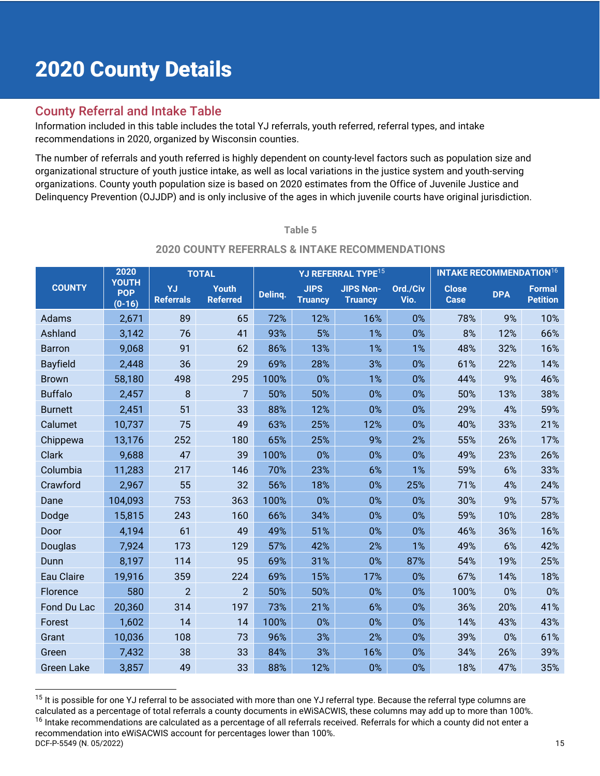# <span id="page-15-0"></span>2020 County Details

# <span id="page-15-1"></span>County Referral and Intake Table

Information included in this table includes the total YJ referrals, youth referred, referral types, and intake recommendations in 2020, organized by Wisconsin counties.

The number of referrals and youth referred is highly dependent on county-level factors such as population size and organizational structure of youth justice intake, as well as local variations in the justice system and youth-serving organizations. County youth population size is based on 2020 estimates from the Office of Juvenile Justice and Delinquency Prevention (OJJDP) and is only inclusive of the ages in which juvenile courts have original jurisdiction.

#### **Table 5**

#### **2020 COUNTY REFERRALS & INTAKE RECOMMENDATIONS**

|                   | 2020                                   |                        | <b>INTAKE RECOMMENDATION16</b><br>YJ REFERRAL TYPE <sup>15</sup><br><b>TOTAL</b> |         |                               |                                    |                  |                             |            |                                  |
|-------------------|----------------------------------------|------------------------|----------------------------------------------------------------------------------|---------|-------------------------------|------------------------------------|------------------|-----------------------------|------------|----------------------------------|
| <b>COUNTY</b>     | <b>YOUTH</b><br><b>POP</b><br>$(0-16)$ | YJ<br><b>Referrals</b> | <b>Youth</b><br><b>Referred</b>                                                  | Delinq. | <b>JIPS</b><br><b>Truancy</b> | <b>JIPS Non-</b><br><b>Truancy</b> | Ord./Civ<br>Vio. | <b>Close</b><br><b>Case</b> | <b>DPA</b> | <b>Formal</b><br><b>Petition</b> |
| Adams             | 2,671                                  | 89                     | 65                                                                               | 72%     | 12%                           | 16%                                | 0%               | 78%                         | 9%         | 10%                              |
| Ashland           | 3,142                                  | 76                     | 41                                                                               | 93%     | 5%                            | 1%                                 | 0%               | 8%                          | 12%        | 66%                              |
| <b>Barron</b>     | 9,068                                  | 91                     | 62                                                                               | 86%     | 13%                           | 1%                                 | 1%               | 48%                         | 32%        | 16%                              |
| <b>Bayfield</b>   | 2,448                                  | 36                     | 29                                                                               | 69%     | 28%                           | 3%                                 | 0%               | 61%                         | 22%        | 14%                              |
| <b>Brown</b>      | 58,180                                 | 498                    | 295                                                                              | 100%    | 0%                            | 1%                                 | 0%               | 44%                         | 9%         | 46%                              |
| <b>Buffalo</b>    | 2,457                                  | 8                      | 7                                                                                | 50%     | 50%                           | 0%                                 | 0%               | 50%                         | 13%        | 38%                              |
| <b>Burnett</b>    | 2,451                                  | 51                     | 33                                                                               | 88%     | 12%                           | 0%                                 | 0%               | 29%                         | 4%         | 59%                              |
| Calumet           | 10,737                                 | 75                     | 49                                                                               | 63%     | 25%                           | 12%                                | 0%               | 40%                         | 33%        | 21%                              |
| Chippewa          | 13,176                                 | 252                    | 180                                                                              | 65%     | 25%                           | 9%                                 | 2%               | 55%                         | 26%        | 17%                              |
| <b>Clark</b>      | 9,688                                  | 47                     | 39                                                                               | 100%    | 0%                            | 0%                                 | 0%               | 49%                         | 23%        | 26%                              |
| Columbia          | 11,283                                 | 217                    | 146                                                                              | 70%     | 23%                           | 6%                                 | 1%               | 59%                         | 6%         | 33%                              |
| Crawford          | 2,967                                  | 55                     | 32                                                                               | 56%     | 18%                           | 0%                                 | 25%              | 71%                         | 4%         | 24%                              |
| Dane              | 104,093                                | 753                    | 363                                                                              | 100%    | 0%                            | 0%                                 | 0%               | 30%                         | 9%         | 57%                              |
| Dodge             | 15,815                                 | 243                    | 160                                                                              | 66%     | 34%                           | 0%                                 | 0%               | 59%                         | 10%        | 28%                              |
| Door              | 4,194                                  | 61                     | 49                                                                               | 49%     | 51%                           | 0%                                 | 0%               | 46%                         | 36%        | 16%                              |
| Douglas           | 7,924                                  | 173                    | 129                                                                              | 57%     | 42%                           | 2%                                 | 1%               | 49%                         | 6%         | 42%                              |
| Dunn              | 8,197                                  | 114                    | 95                                                                               | 69%     | 31%                           | 0%                                 | 87%              | 54%                         | 19%        | 25%                              |
| <b>Eau Claire</b> | 19,916                                 | 359                    | 224                                                                              | 69%     | 15%                           | 17%                                | 0%               | 67%                         | 14%        | 18%                              |
| Florence          | 580                                    | $\overline{2}$         | $\overline{2}$                                                                   | 50%     | 50%                           | 0%                                 | 0%               | 100%                        | 0%         | 0%                               |
| Fond Du Lac       | 20,360                                 | 314                    | 197                                                                              | 73%     | 21%                           | 6%                                 | 0%               | 36%                         | 20%        | 41%                              |
| Forest            | 1,602                                  | 14                     | 14                                                                               | 100%    | 0%                            | 0%                                 | 0%               | 14%                         | 43%        | 43%                              |
| Grant             | 10,036                                 | 108                    | 73                                                                               | 96%     | 3%                            | 2%                                 | 0%               | 39%                         | 0%         | 61%                              |
| Green             | 7,432                                  | 38                     | 33                                                                               | 84%     | 3%                            | 16%                                | 0%               | 34%                         | 26%        | 39%                              |
| <b>Green Lake</b> | 3,857                                  | 49                     | 33                                                                               | 88%     | 12%                           | 0%                                 | 0%               | 18%                         | 47%        | 35%                              |

DCF-P-5549 (N. 05/2022) 15 <sup>15</sup> It is possible for one YJ referral to be associated with more than one YJ referral type. Because the referral type columns are calculated as a percentage of total referrals a county documents in eWiSACWIS, these columns may add up to more than 100%. <sup>16</sup> Intake recommendations are calculated as a percentage of all referrals received. Referrals for which a county did not enter a recommendation into eWiSACWIS account for percentages lower than 100%.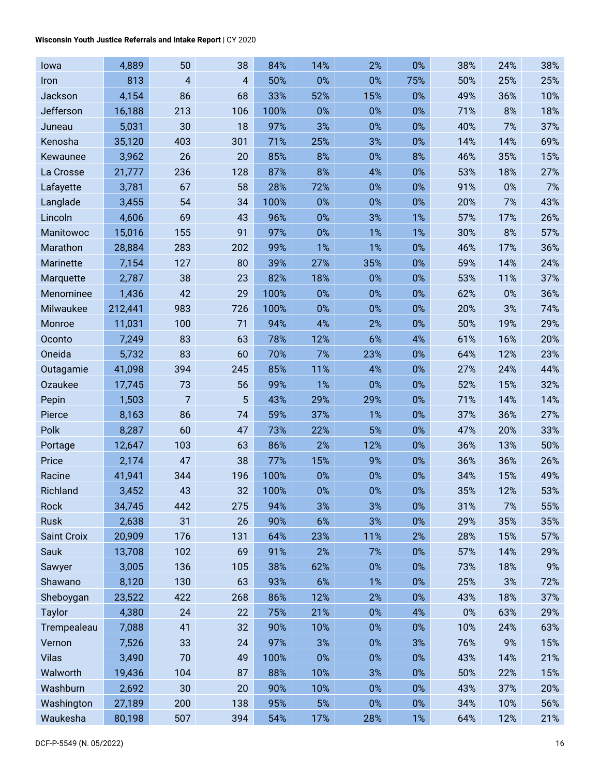#### **Wisconsin Youth Justice Referrals and Intake Report** | CY 2020

| lowa               | 4,889   | 50                      | 38  | 84%  | 14%   | 2%    | 0%    | 38%   | 24% | 38% |
|--------------------|---------|-------------------------|-----|------|-------|-------|-------|-------|-----|-----|
| Iron               | 813     | $\overline{\mathbf{4}}$ | 4   | 50%  | 0%    | 0%    | 75%   | 50%   | 25% | 25% |
| Jackson            | 4,154   | 86                      | 68  | 33%  | 52%   | 15%   | 0%    | 49%   | 36% | 10% |
| Jefferson          | 16,188  | 213                     | 106 | 100% | 0%    | 0%    | 0%    | 71%   | 8%  | 18% |
| Juneau             | 5,031   | 30                      | 18  | 97%  | 3%    | 0%    | 0%    | 40%   | 7%  | 37% |
| Kenosha            | 35,120  | 403                     | 301 | 71%  | 25%   | 3%    | 0%    | 14%   | 14% | 69% |
| Kewaunee           | 3,962   | 26                      | 20  | 85%  | 8%    | 0%    | 8%    | 46%   | 35% | 15% |
| La Crosse          | 21,777  | 236                     | 128 | 87%  | 8%    | 4%    | 0%    | 53%   | 18% | 27% |
| Lafayette          | 3,781   | 67                      | 58  | 28%  | 72%   | 0%    | 0%    | 91%   | 0%  | 7%  |
| Langlade           | 3,455   | 54                      | 34  | 100% | 0%    | 0%    | 0%    | 20%   | 7%  | 43% |
| Lincoln            | 4,606   | 69                      | 43  | 96%  | 0%    | 3%    | 1%    | 57%   | 17% | 26% |
| Manitowoc          | 15,016  | 155                     | 91  | 97%  | 0%    | 1%    | 1%    | 30%   | 8%  | 57% |
| Marathon           | 28,884  | 283                     | 202 | 99%  | 1%    | 1%    | 0%    | 46%   | 17% | 36% |
| Marinette          | 7,154   | 127                     | 80  | 39%  | 27%   | 35%   | 0%    | 59%   | 14% | 24% |
| Marquette          | 2,787   | 38                      | 23  | 82%  | 18%   | 0%    | 0%    | 53%   | 11% | 37% |
| Menominee          | 1,436   | 42                      | 29  | 100% | 0%    | 0%    | 0%    | 62%   | 0%  | 36% |
| Milwaukee          | 212,441 | 983                     | 726 | 100% | 0%    | 0%    | 0%    | 20%   | 3%  | 74% |
| Monroe             | 11,031  | 100                     | 71  | 94%  | 4%    | 2%    | 0%    | 50%   | 19% | 29% |
| Oconto             | 7,249   | 83                      | 63  | 78%  | 12%   | 6%    | 4%    | 61%   | 16% | 20% |
| Oneida             | 5,732   | 83                      | 60  | 70%  | 7%    | 23%   | 0%    | 64%   | 12% | 23% |
| Outagamie          | 41,098  | 394                     | 245 | 85%  | 11%   | 4%    | 0%    | 27%   | 24% | 44% |
| Ozaukee            | 17,745  | 73                      | 56  | 99%  | 1%    | 0%    | 0%    | 52%   | 15% | 32% |
| Pepin              | 1,503   | $\overline{7}$          | 5   | 43%  | 29%   | 29%   | 0%    | 71%   | 14% | 14% |
| Pierce             | 8,163   | 86                      | 74  | 59%  | 37%   | 1%    | 0%    | 37%   | 36% | 27% |
| Polk               | 8,287   | 60                      | 47  | 73%  | 22%   | 5%    | $0\%$ | 47%   | 20% | 33% |
| Portage            | 12,647  | 103                     | 63  | 86%  | 2%    | 12%   | 0%    | 36%   | 13% | 50% |
| Price              | 2,174   | 47                      | 38  | 77%  | 15%   | 9%    | 0%    | 36%   | 36% | 26% |
| Racine             | 41,941  | 344                     | 196 | 100% | 0%    | 0%    | 0%    | 34%   | 15% | 49% |
| Richland           | 3,452   | 43                      | 32  | 100% | 0%    | 0%    | 0%    | 35%   | 12% | 53% |
| Rock               | 34,745  | 442                     | 275 | 94%  | 3%    | 3%    | $0\%$ | 31%   | 7%  | 55% |
| Rusk               | 2,638   | 31                      | 26  | 90%  | $6\%$ | 3%    | $0\%$ | 29%   | 35% | 35% |
| <b>Saint Croix</b> | 20,909  | 176                     | 131 | 64%  | 23%   | 11%   | 2%    | 28%   | 15% | 57% |
| Sauk               | 13,708  | 102                     | 69  | 91%  | 2%    | 7%    | 0%    | 57%   | 14% | 29% |
| Sawyer             | 3,005   | 136                     | 105 | 38%  | 62%   | $0\%$ | $0\%$ | 73%   | 18% | 9%  |
| Shawano            | 8,120   | 130                     | 63  | 93%  | 6%    | 1%    | 0%    | 25%   | 3%  | 72% |
| Sheboygan          | 23,522  | 422                     | 268 | 86%  | 12%   | 2%    | $0\%$ | 43%   | 18% | 37% |
| <b>Taylor</b>      | 4,380   | 24                      | 22  | 75%  | 21%   | 0%    | 4%    | $0\%$ | 63% | 29% |
| Trempealeau        | 7,088   | 41                      | 32  | 90%  | 10%   | 0%    | $0\%$ | 10%   | 24% | 63% |
| Vernon             | 7,526   | 33                      | 24  | 97%  | 3%    | 0%    | 3%    | 76%   | 9%  | 15% |
| <b>Vilas</b>       | 3,490   | 70                      | 49  | 100% | $0\%$ | 0%    | 0%    | 43%   | 14% | 21% |
| Walworth           | 19,436  | 104                     | 87  | 88%  | 10%   | 3%    | $0\%$ | 50%   | 22% | 15% |
| Washburn           | 2,692   | 30                      | 20  | 90%  | 10%   | 0%    | $0\%$ | 43%   | 37% | 20% |
| Washington         | 27,189  | 200                     | 138 | 95%  | 5%    | 0%    | $0\%$ | 34%   | 10% | 56% |
| Waukesha           | 80,198  | 507                     | 394 | 54%  | 17%   | 28%   | 1%    | 64%   | 12% | 21% |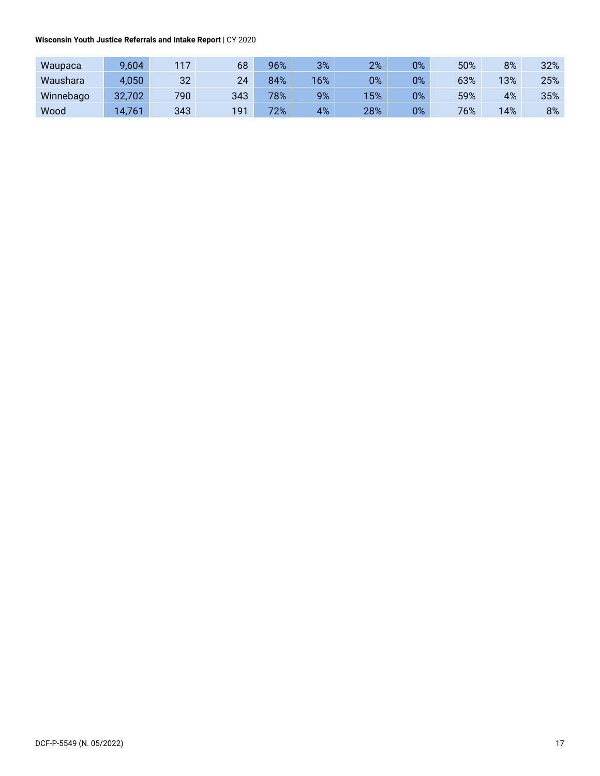**Wisconsin Youth Justice Referrals and Intake Report** | CY 2020

| Waupaca   | 9,604  | 117 | 68  | 96% | 3%  | 2%  | $0\%$ | 50% | 8%  | 32% |
|-----------|--------|-----|-----|-----|-----|-----|-------|-----|-----|-----|
| Waushara  | 4,050  | 32  | 24  | 84% | 16% | 0%  | 0%    | 63% | 13% | 25% |
| Winnebago | 32,702 | 790 | 343 | 78% | 9%  | 15% | 0%    | 59% | 4%  | 35% |
| Wood      | 4,761  | 343 | 191 | 72% | 4%  | 28% | 0%    | 76% | 14% | 8%  |